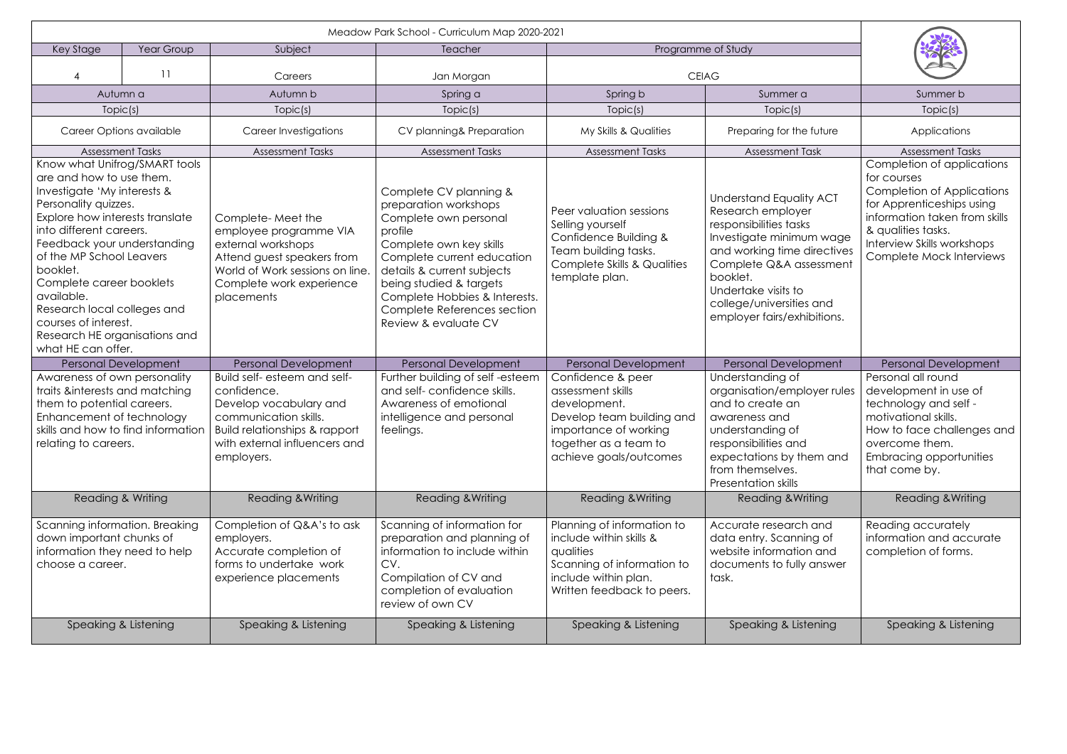| Key Stage<br>Year Group                                                                                                                                                                                                                                                                                                                                                                                       |                 | Subject                                                                                                                                                                        | Teacher                                                                                                                                                                                                                                                                                       |                                                                                                                                                                 | Programme of Study                                                                                                                                                                                                                                                |                                                                                                                                                                                                                              |
|---------------------------------------------------------------------------------------------------------------------------------------------------------------------------------------------------------------------------------------------------------------------------------------------------------------------------------------------------------------------------------------------------------------|-----------------|--------------------------------------------------------------------------------------------------------------------------------------------------------------------------------|-----------------------------------------------------------------------------------------------------------------------------------------------------------------------------------------------------------------------------------------------------------------------------------------------|-----------------------------------------------------------------------------------------------------------------------------------------------------------------|-------------------------------------------------------------------------------------------------------------------------------------------------------------------------------------------------------------------------------------------------------------------|------------------------------------------------------------------------------------------------------------------------------------------------------------------------------------------------------------------------------|
|                                                                                                                                                                                                                                                                                                                                                                                                               | $\overline{11}$ | Careers                                                                                                                                                                        | Jan Morgan                                                                                                                                                                                                                                                                                    |                                                                                                                                                                 | <b>CEIAG</b>                                                                                                                                                                                                                                                      |                                                                                                                                                                                                                              |
| Autumn a                                                                                                                                                                                                                                                                                                                                                                                                      |                 | Autumn b                                                                                                                                                                       | Spring a                                                                                                                                                                                                                                                                                      | Spring b                                                                                                                                                        | Summer a                                                                                                                                                                                                                                                          | Summer b                                                                                                                                                                                                                     |
| Topic(s)                                                                                                                                                                                                                                                                                                                                                                                                      |                 | Topic(s)                                                                                                                                                                       | Topic(s)                                                                                                                                                                                                                                                                                      | Topic(s)                                                                                                                                                        | Topic(s)                                                                                                                                                                                                                                                          | Topic(s)                                                                                                                                                                                                                     |
| Career Options available                                                                                                                                                                                                                                                                                                                                                                                      |                 | Career Investigations                                                                                                                                                          | CV planning& Preparation                                                                                                                                                                                                                                                                      | My Skills & Qualities                                                                                                                                           | Preparing for the future                                                                                                                                                                                                                                          | Applications                                                                                                                                                                                                                 |
| <b>Assessment Tasks</b>                                                                                                                                                                                                                                                                                                                                                                                       |                 | <b>Assessment Tasks</b>                                                                                                                                                        | <b>Assessment Tasks</b>                                                                                                                                                                                                                                                                       | <b>Assessment Tasks</b>                                                                                                                                         | Assessment Task                                                                                                                                                                                                                                                   | <b>Assessment Tasks</b>                                                                                                                                                                                                      |
| Know what Unifrog/SMART tools<br>are and how to use them.<br>Investigate 'My interests &<br>Personality quizzes.<br>Explore how interests translate<br>into different careers.<br>Feedback your understanding<br>of the MP School Leavers<br>booklet.<br>Complete career booklets<br>available.<br>Research local colleges and<br>courses of interest.<br>Research HE organisations and<br>what HE can offer. |                 | Complete-Meet the<br>employee programme VIA<br>external workshops<br>Attend guest speakers from<br>World of Work sessions on line.<br>Complete work experience<br>placements   | Complete CV planning &<br>preparation workshops<br>Complete own personal<br>profile<br>Complete own key skills<br>Complete current education<br>details & current subjects<br>being studied & targets<br>Complete Hobbies & Interests.<br>Complete References section<br>Review & evaluate CV | Peer valuation sessions<br>Selling yourself<br>Confidence Building &<br>Team building tasks.<br><b>Complete Skills &amp; Qualities</b><br>template plan.        | <b>Understand Equality ACT</b><br>Research employer<br>responsibilities tasks<br>Investigate minimum wage<br>and working time directives<br>Complete Q&A assessment<br>booklet.<br>Undertake visits to<br>college/universities and<br>employer fairs/exhibitions. | Completion of applications<br>for courses<br><b>Completion of Applications</b><br>for Apprenticeships using<br>information taken from skills<br>& qualities tasks.<br>Interview Skills workshops<br>Complete Mock Interviews |
| <b>Personal Development</b>                                                                                                                                                                                                                                                                                                                                                                                   |                 | <b>Personal Development</b>                                                                                                                                                    | <b>Personal Development</b>                                                                                                                                                                                                                                                                   | <b>Personal Development</b>                                                                                                                                     | <b>Personal Development</b>                                                                                                                                                                                                                                       | Personal Development                                                                                                                                                                                                         |
| Awareness of own personality<br>traits &interests and matching<br>them to potential careers.<br>Enhancement of technology<br>skills and how to find information<br>relating to careers.                                                                                                                                                                                                                       |                 | Build self- esteem and self-<br>confidence.<br>Develop vocabulary and<br>communication skills.<br>Build relationships & rapport<br>with external influencers and<br>employers. | Further building of self-esteem<br>and self-confidence skills.<br>Awareness of emotional<br>intelligence and personal<br>feelings.                                                                                                                                                            | Confidence & peer<br>assessment skills<br>development.<br>Develop team building and<br>importance of working<br>together as a team to<br>achieve goals/outcomes | Understanding of<br>organisation/employer rules<br>and to create an<br>awareness and<br>understanding of<br>responsibilities and<br>expectations by them and<br>from themselves.<br>Presentation skills                                                           | Personal all round<br>development in use of<br>technology and self -<br>motivational skills.<br>How to face challenges and<br>overcome them.<br><b>Embracing opportunities</b><br>that come by.                              |
| <b>Reading &amp; Writing</b>                                                                                                                                                                                                                                                                                                                                                                                  |                 | Reading & Writing                                                                                                                                                              | Reading & Writing                                                                                                                                                                                                                                                                             | <b>Reading &amp; Writing</b>                                                                                                                                    | <b>Reading &amp; Writing</b>                                                                                                                                                                                                                                      | Reading & Writing                                                                                                                                                                                                            |
| Scanning information. Breaking<br>down important chunks of<br>information they need to help<br>choose a career.                                                                                                                                                                                                                                                                                               |                 | Completion of Q&A's to ask<br>employers.<br>Accurate completion of<br>forms to undertake work<br>experience placements                                                         | Scanning of information for<br>preparation and planning of<br>information to include within<br>CV.<br>Compilation of CV and<br>completion of evaluation<br>review of own CV                                                                                                                   | Planning of information to<br>include within skills &<br>qualities<br>Scanning of information to<br>include within plan.<br>Written feedback to peers.          | Accurate research and<br>data entry. Scanning of<br>website information and<br>documents to fully answer<br>task.                                                                                                                                                 | Reading accurately<br>information and accurate<br>completion of forms.                                                                                                                                                       |
| Speaking & Listening                                                                                                                                                                                                                                                                                                                                                                                          |                 | Speaking & Listening                                                                                                                                                           | Speaking & Listening                                                                                                                                                                                                                                                                          | Speaking & Listening                                                                                                                                            | Speaking & Listening                                                                                                                                                                                                                                              | Speaking & Listening                                                                                                                                                                                                         |